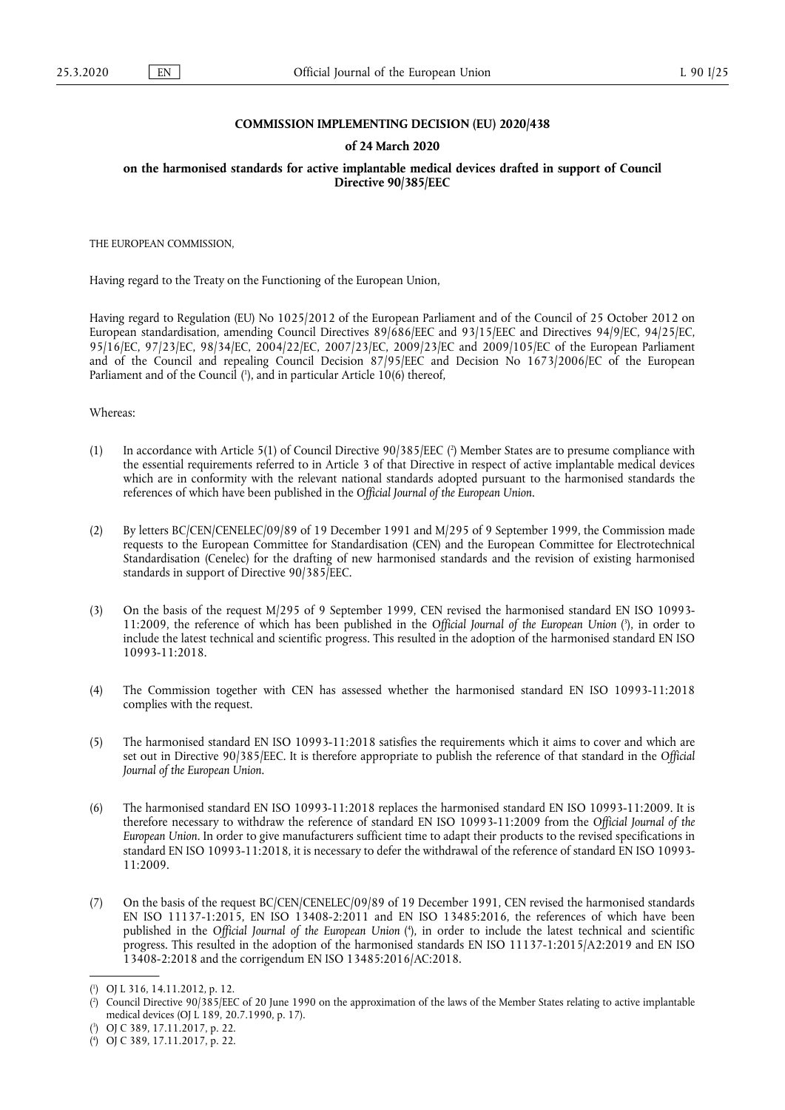### **COMMISSION IMPLEMENTING DECISION (EU) 2020/438**

#### **of 24 March 2020**

**on the harmonised standards for active implantable medical devices drafted in support of Council Directive 90/385/EEC** 

THE EUROPEAN COMMISSION,

Having regard to the Treaty on the Functioning of the European Union,

Having regard to Regulation (EU) No 1025/2012 of the European Parliament and of the Council of 25 October 2012 on European standardisation, amending Council Directives 89/686/EEC and 93/15/EEC and Directives 94/9/EC, 94/25/EC, 95/16/EC, 97/23/EC, 98/34/EC, 2004/22/EC, 2007/23/EC, 2009/23/EC and 2009/105/EC of the European Parliament and of the Council and repealing Council Decision 87/95/EEC and Decision No 1673/2006/EC of the European Parliament and of the Council (<sup>1</sup>[\), and in particular Article 10\(6\) thereof,](#page-0-0)

<span id="page-0-4"></span>Whereas:

- <span id="page-0-5"></span>(1) In accordance with Article 5(1) of Council Directive  $90/385/EEC$  ( $^2$ [\) Member States are to presume compliance with](#page-0-1) the essential requirements referred to in Article 3 of that Directive in respect of active implantable medical devices which are in conformity with the relevant national standards adopted pursuant to the harmonised standards the references of which have been published in the *Official Journal of the European Union*.
- (2) By letters BC/CEN/CENELEC/09/89 of 19 December 1991 and M/295 of 9 September 1999, the Commission made requests to the European Committee for Standardisation (CEN) and the European Committee for Electrotechnical Standardisation (Cenelec) for the drafting of new harmonised standards and the revision of existing harmonised standards in support of Directive 90/385/EEC.
- <span id="page-0-6"></span>(3) On the basis of the request M/295 of 9 September 1999, CEN revised the harmonised standard EN ISO 10993- 11:2009, the reference of which has been published in the *Official Journal of the European Union* ( 3 [\), in order to](#page-0-2) include the latest technical and scientific progress. This resulted in the adoption of the harmonised standard EN ISO 10993-11:2018.
- (4) The Commission together with CEN has assessed whether the harmonised standard EN ISO 10993-11:2018 complies with the request.
- (5) The harmonised standard EN ISO 10993-11:2018 satisfies the requirements which it aims to cover and which are set out in Directive 90/385/EEC. It is therefore appropriate to publish the reference of that standard in the *Official Journal of the European Union*.
- (6) The harmonised standard EN ISO 10993-11:2018 replaces the harmonised standard EN ISO 10993-11:2009. It is therefore necessary to withdraw the reference of standard EN ISO 10993-11:2009 from the *Official Journal of the European Union*. In order to give manufacturers sufficient time to adapt their products to the revised specifications in standard EN ISO 10993-11:2018, it is necessary to defer the withdrawal of the reference of standard EN ISO 10993- 11:2009.
- <span id="page-0-7"></span>(7) On the basis of the request BC/CEN/CENELEC/09/89 of 19 December 1991, CEN revised the harmonised standards EN ISO 11137-1:2015, EN ISO 13408-2:2011 and EN ISO 13485:2016, the references of which have been published in the *Official Journal of the European Union* ( 4 [\), in order to include the latest technical and scientific](#page-0-3) progress. This resulted in the adoption of the harmonised standards EN ISO 11137-1:2015/A2:2019 and EN ISO 13408-2:2018 and the corrigendum EN ISO 13485:2016/AC:2018.

<span id="page-0-0"></span>[<sup>\(</sup>](#page-0-4) 1 ) OJ L 316, 14.11.2012, p. 12.

<span id="page-0-1"></span>[<sup>\(</sup>](#page-0-5) 2 ) Council Directive 90/385/EEC of 20 June 1990 on the approximation of the laws of the Member States relating to active implantable medical devices (OJ L 189, 20.7.1990, p. 17).

<span id="page-0-2"></span>[<sup>\(</sup>](#page-0-6) 3 ) OJ C 389, 17.11.2017, p. 22.

<span id="page-0-3"></span><sup>(</sup> 4 [\)](#page-0-7) OJ C 389, 17.11.2017, p. 22.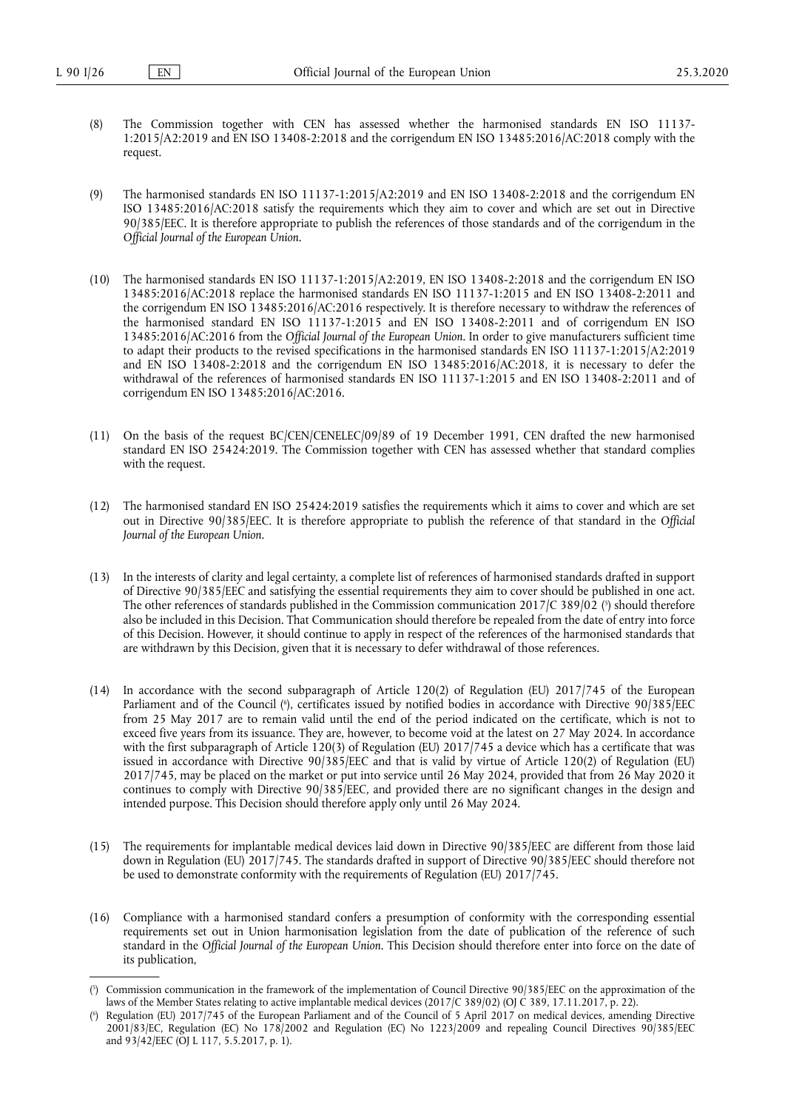- (8) The Commission together with CEN has assessed whether the harmonised standards EN ISO 11137- 1:2015/A2:2019 and EN ISO 13408-2:2018 and the corrigendum EN ISO 13485:2016/AC:2018 comply with the request.
- (9) The harmonised standards EN ISO 11137-1:2015/A2:2019 and EN ISO 13408-2:2018 and the corrigendum EN ISO 13485:2016/AC:2018 satisfy the requirements which they aim to cover and which are set out in Directive 90/385/EEC. It is therefore appropriate to publish the references of those standards and of the corrigendum in the *Official Journal of the European Union*.
- (10) The harmonised standards EN ISO 11137-1:2015/A2:2019, EN ISO 13408-2:2018 and the corrigendum EN ISO 13485:2016/AC:2018 replace the harmonised standards EN ISO 11137-1:2015 and EN ISO 13408-2:2011 and the corrigendum EN ISO 13485:2016/AC:2016 respectively. It is therefore necessary to withdraw the references of the harmonised standard EN ISO 11137-1:2015 and EN ISO 13408-2:2011 and of corrigendum EN ISO 13485:2016/AC:2016 from the *Official Journal of the European Union*. In order to give manufacturers sufficient time to adapt their products to the revised specifications in the harmonised standards EN ISO 11137-1:2015/A2:2019 and EN ISO 13408-2:2018 and the corrigendum EN ISO 13485:2016/AC:2018, it is necessary to defer the withdrawal of the references of harmonised standards EN ISO 11137-1:2015 and EN ISO 13408-2:2011 and of corrigendum EN ISO 13485:2016/AC:2016.
- (11) On the basis of the request BC/CEN/CENELEC/09/89 of 19 December 1991, CEN drafted the new harmonised standard EN ISO 25424:2019. The Commission together with CEN has assessed whether that standard complies with the request.
- (12) The harmonised standard EN ISO 25424:2019 satisfies the requirements which it aims to cover and which are set out in Directive 90/385/EEC. It is therefore appropriate to publish the reference of that standard in the *Official Journal of the European Union*.
- <span id="page-1-2"></span>(13) In the interests of clarity and legal certainty, a complete list of references of harmonised standards drafted in support of Directive 90/385/EEC and satisfying the essential requirements they aim to cover should be published in one act. The other references of standards published in the Commission communication 2017/C 389/02 ( $\hat{\ }$ [\) should therefore](#page-1-0) also be included in this Decision. That Communication should therefore be repealed from the date of entry into force of this Decision. However, it should continue to apply in respect of the references of the harmonised standards that are withdrawn by this Decision, given that it is necessary to defer withdrawal of those references.
- <span id="page-1-3"></span>(14) In accordance with the second subparagraph of Article 120(2) of Regulation (EU) 2017/745 of the European Parliament and of the Council ( 6 [\), certificates issued by notified bodies in accordance with Directive 90/385/EEC](#page-1-1) from 25 May 2017 are to remain valid until the end of the period indicated on the certificate, which is not to exceed five years from its issuance. They are, however, to become void at the latest on 27 May 2024. In accordance with the first subparagraph of Article 120(3) of Regulation (EU) 2017/745 a device which has a certificate that was issued in accordance with Directive 90/385/EEC and that is valid by virtue of Article 120(2) of Regulation (EU) 2017/745, may be placed on the market or put into service until 26 May 2024, provided that from 26 May 2020 it continues to comply with Directive 90/385/EEC, and provided there are no significant changes in the design and intended purpose. This Decision should therefore apply only until 26 May 2024.
- (15) The requirements for implantable medical devices laid down in Directive 90/385/EEC are different from those laid down in Regulation (EU) 2017/745. The standards drafted in support of Directive 90/385/EEC should therefore not be used to demonstrate conformity with the requirements of Regulation (EU) 2017/745.
- (16) Compliance with a harmonised standard confers a presumption of conformity with the corresponding essential requirements set out in Union harmonisation legislation from the date of publication of the reference of such standard in the *Official Journal of the European Union*. This Decision should therefore enter into force on the date of its publication,

<span id="page-1-0"></span>[<sup>\(</sup>](#page-1-2) 5 ) Commission communication in the framework of the implementation of Council Directive 90/385/EEC on the approximation of the laws of the Member States relating to active implantable medical devices (2017/C 389/02) (OJ C 389, 17.11.2017, p. 22).

<span id="page-1-1"></span>[<sup>\(</sup>](#page-1-3) 6 ) Regulation (EU) 2017/745 of the European Parliament and of the Council of 5 April 2017 on medical devices, amending Directive 2001/83/EC, Regulation (EC) No 178/2002 and Regulation (EC) No 1223/2009 and repealing Council Directives 90/385/EEC and 93/42/EEC (OJ L 117, 5.5.2017, p. 1).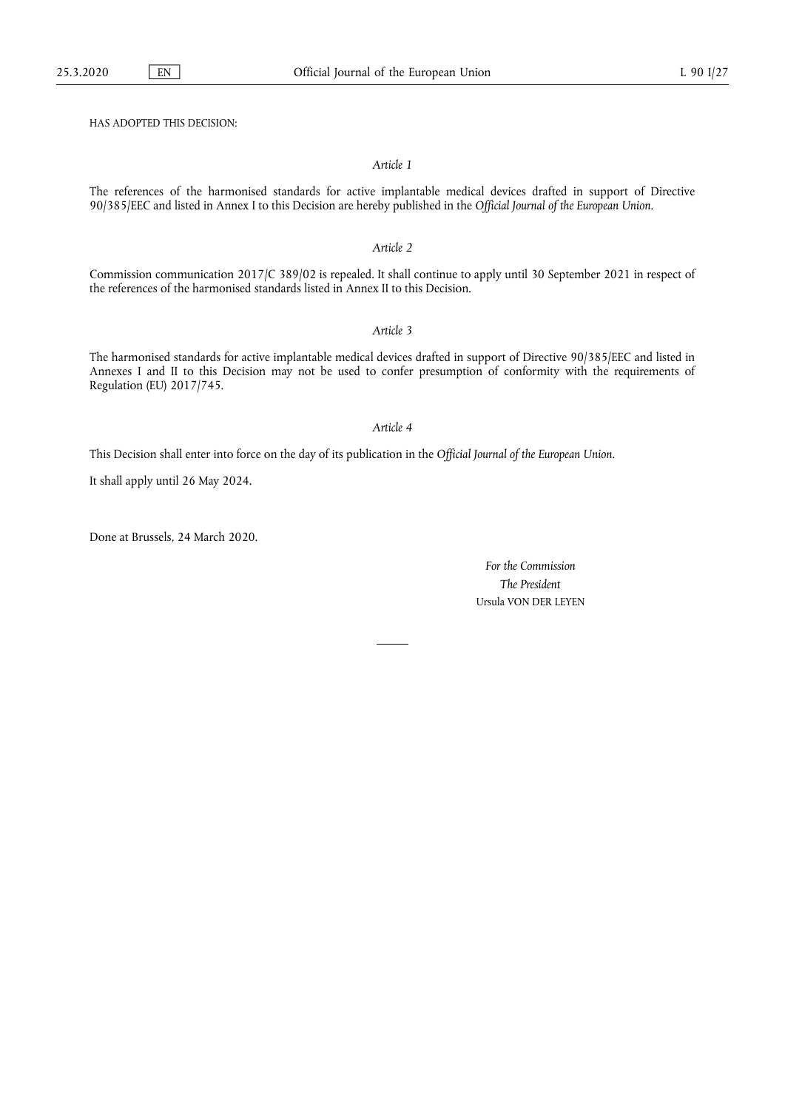HAS ADOPTED THIS DECISION:

### *Article 1*

The references of the harmonised standards for active implantable medical devices drafted in support of Directive 90/385/EEC and listed in Annex I to this Decision are hereby published in the *Official Journal of the European Union*.

#### *Article 2*

Commission communication 2017/C 389/02 is repealed. It shall continue to apply until 30 September 2021 in respect of the references of the harmonised standards listed in Annex II to this Decision.

### *Article 3*

The harmonised standards for active implantable medical devices drafted in support of Directive 90/385/EEC and listed in Annexes I and II to this Decision may not be used to confer presumption of conformity with the requirements of Regulation (EU) 2017/745.

## *Article 4*

This Decision shall enter into force on the day of its publication in the *Official Journal of the European Union*.

It shall apply until 26 May 2024.

Done at Brussels, 24 March 2020.

*For the Commission The President*  Ursula VON DER LEYEN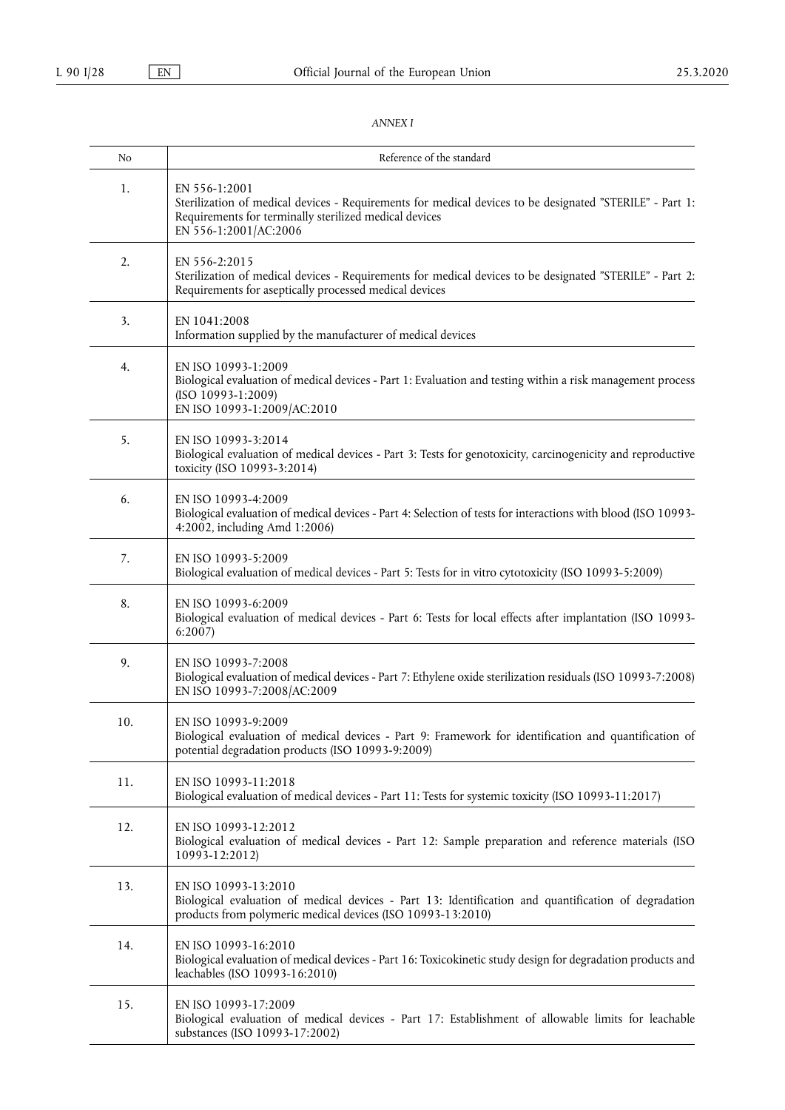# *ANNEX I*

| No  | Reference of the standard                                                                                                                                                                                    |
|-----|--------------------------------------------------------------------------------------------------------------------------------------------------------------------------------------------------------------|
| 1.  | EN 556-1:2001<br>Sterilization of medical devices - Requirements for medical devices to be designated "STERILE" - Part 1:<br>Requirements for terminally sterilized medical devices<br>EN 556-1:2001/AC:2006 |
| 2.  | EN 556-2:2015<br>Sterilization of medical devices - Requirements for medical devices to be designated "STERILE" - Part 2:<br>Requirements for aseptically processed medical devices                          |
| 3.  | EN 1041:2008<br>Information supplied by the manufacturer of medical devices                                                                                                                                  |
| 4.  | EN ISO 10993-1:2009<br>Biological evaluation of medical devices - Part 1: Evaluation and testing within a risk management process<br>(ISO 10993-1:2009)<br>EN ISO 10993-1:2009/AC:2010                       |
| 5.  | EN ISO 10993-3:2014<br>Biological evaluation of medical devices - Part 3: Tests for genotoxicity, carcinogenicity and reproductive<br>toxicity (ISO 10993-3:2014)                                            |
| 6.  | EN ISO 10993-4:2009<br>Biological evaluation of medical devices - Part 4: Selection of tests for interactions with blood (ISO 10993-<br>4:2002, including Amd 1:2006)                                        |
| 7.  | EN ISO 10993-5:2009<br>Biological evaluation of medical devices - Part 5: Tests for in vitro cytotoxicity (ISO 10993-5:2009)                                                                                 |
| 8.  | EN ISO 10993-6:2009<br>Biological evaluation of medical devices - Part 6: Tests for local effects after implantation (ISO 10993-<br>6:2007                                                                   |
| 9.  | EN ISO 10993-7:2008<br>Biological evaluation of medical devices - Part 7: Ethylene oxide sterilization residuals (ISO 10993-7:2008)<br>EN ISO 10993-7:2008/AC:2009                                           |
| 10. | EN ISO 10993-9:2009<br>Biological evaluation of medical devices - Part 9: Framework for identification and quantification of<br>potential degradation products (ISO 10993-9:2009)                            |
| 11. | EN ISO 10993-11:2018<br>Biological evaluation of medical devices - Part 11: Tests for systemic toxicity (ISO 10993-11:2017)                                                                                  |
| 12. | EN ISO 10993-12:2012<br>Biological evaluation of medical devices - Part 12: Sample preparation and reference materials (ISO<br>10993-12:2012)                                                                |
| 13. | EN ISO 10993-13:2010<br>Biological evaluation of medical devices - Part 13: Identification and quantification of degradation<br>products from polymeric medical devices (ISO 10993-13:2010)                  |
| 14. | EN ISO 10993-16:2010<br>Biological evaluation of medical devices - Part 16: Toxicokinetic study design for degradation products and<br>leachables (ISO 10993-16:2010)                                        |
| 15. | EN ISO 10993-17:2009<br>Biological evaluation of medical devices - Part 17: Establishment of allowable limits for leachable<br>substances (ISO 10993-17:2002)                                                |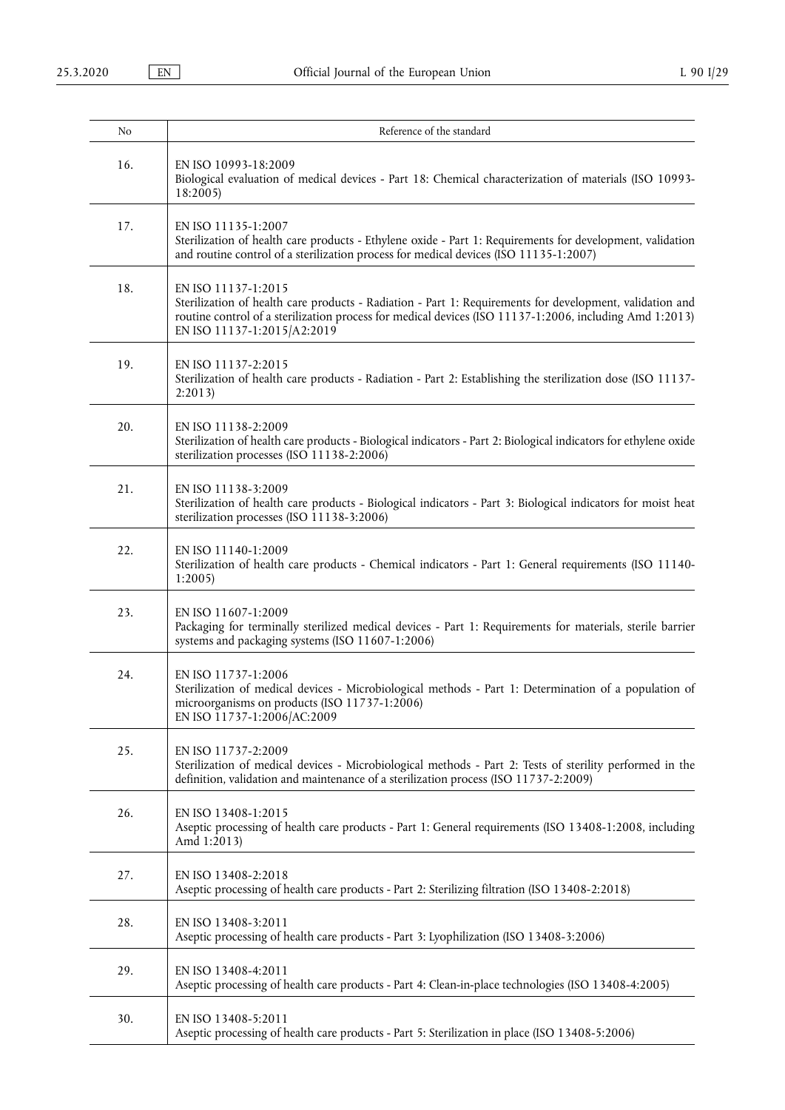| No  | Reference of the standard                                                                                                                                                                                                                                                 |
|-----|---------------------------------------------------------------------------------------------------------------------------------------------------------------------------------------------------------------------------------------------------------------------------|
| 16. | EN ISO 10993-18:2009<br>Biological evaluation of medical devices - Part 18: Chemical characterization of materials (ISO 10993-<br>18:2005)                                                                                                                                |
| 17. | EN ISO 11135-1:2007<br>Sterilization of health care products - Ethylene oxide - Part 1: Requirements for development, validation<br>and routine control of a sterilization process for medical devices (ISO 11135-1:2007)                                                 |
| 18. | EN ISO 11137-1:2015<br>Sterilization of health care products - Radiation - Part 1: Requirements for development, validation and<br>routine control of a sterilization process for medical devices (ISO 11137-1:2006, including Amd 1:2013)<br>EN ISO 11137-1:2015/A2:2019 |
| 19. | EN ISO 11137-2:2015<br>Sterilization of health care products - Radiation - Part 2: Establishing the sterilization dose (ISO 11137-<br>2:2013                                                                                                                              |
| 20. | EN ISO 11138-2:2009<br>Sterilization of health care products - Biological indicators - Part 2: Biological indicators for ethylene oxide<br>sterilization processes (ISO 11138-2:2006)                                                                                     |
| 21. | EN ISO 11138-3:2009<br>Sterilization of health care products - Biological indicators - Part 3: Biological indicators for moist heat<br>sterilization processes (ISO 11138-3:2006)                                                                                         |
| 22. | EN ISO 11140-1:2009<br>Sterilization of health care products - Chemical indicators - Part 1: General requirements (ISO 11140-<br>1:2005                                                                                                                                   |
| 23. | EN ISO 11607-1:2009<br>Packaging for terminally sterilized medical devices - Part 1: Requirements for materials, sterile barrier<br>systems and packaging systems (ISO 11607-1:2006)                                                                                      |
| 24. | EN ISO 11737-1:2006<br>Sterilization of medical devices - Microbiological methods - Part 1: Determination of a population of<br>microorganisms on products (ISO 11737-1:2006)<br>EN ISO 11737-1:2006/AC:2009                                                              |
| 25. | EN ISO 11737-2:2009<br>Sterilization of medical devices - Microbiological methods - Part 2: Tests of sterility performed in the<br>definition, validation and maintenance of a sterilization process (ISO 11737-2:2009)                                                   |
| 26. | EN ISO 13408-1:2015<br>Aseptic processing of health care products - Part 1: General requirements (ISO 13408-1:2008, including<br>Amd 1:2013)                                                                                                                              |
| 27. | EN ISO 13408-2:2018<br>Aseptic processing of health care products - Part 2: Sterilizing filtration (ISO 13408-2:2018)                                                                                                                                                     |
| 28. | EN ISO 13408-3:2011<br>Aseptic processing of health care products - Part 3: Lyophilization (ISO 13408-3:2006)                                                                                                                                                             |
| 29. | EN ISO 13408-4:2011<br>Aseptic processing of health care products - Part 4: Clean-in-place technologies (ISO 13408-4:2005)                                                                                                                                                |
| 30. | EN ISO 13408-5:2011<br>Aseptic processing of health care products - Part 5: Sterilization in place (ISO 13408-5:2006)                                                                                                                                                     |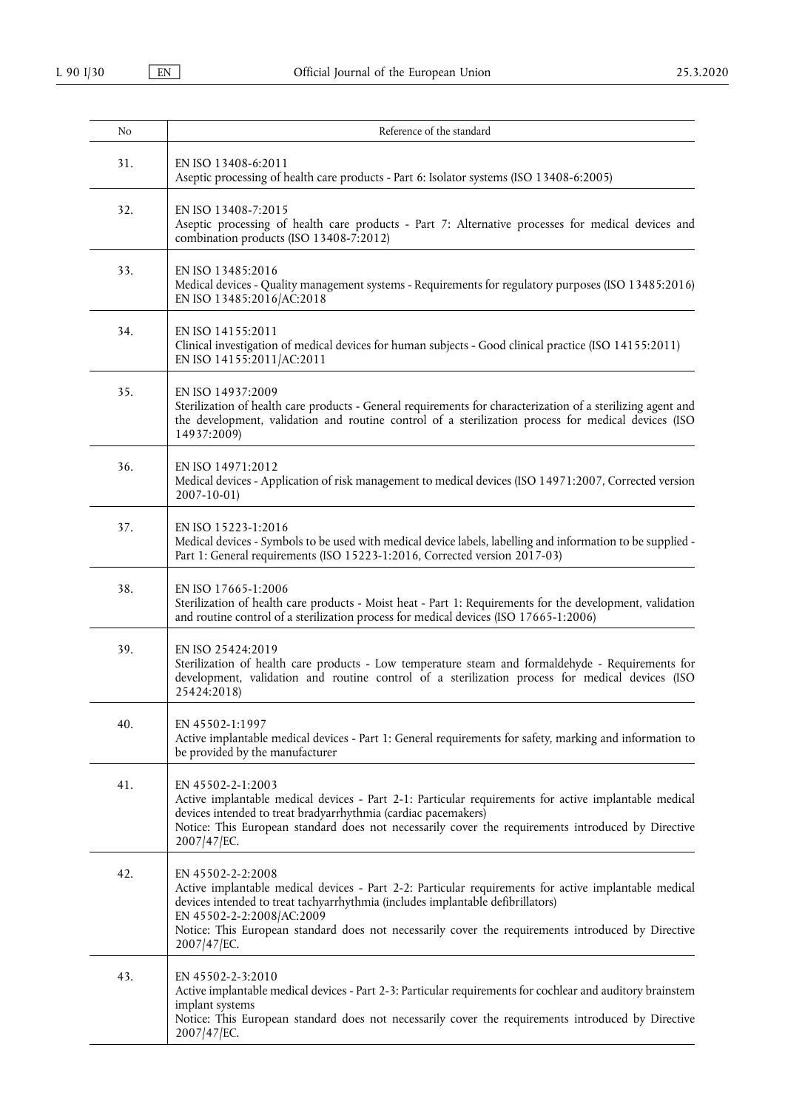| No  | Reference of the standard                                                                                                                                                                                                                                                                                                                                       |
|-----|-----------------------------------------------------------------------------------------------------------------------------------------------------------------------------------------------------------------------------------------------------------------------------------------------------------------------------------------------------------------|
| 31. | EN ISO 13408-6:2011<br>Aseptic processing of health care products - Part 6: Isolator systems (ISO 13408-6:2005)                                                                                                                                                                                                                                                 |
| 32. | EN ISO 13408-7:2015<br>Aseptic processing of health care products - Part 7: Alternative processes for medical devices and<br>combination products (ISO 13408-7:2012)                                                                                                                                                                                            |
| 33. | EN ISO 13485:2016<br>Medical devices - Quality management systems - Requirements for regulatory purposes (ISO 13485:2016)<br>EN ISO 13485:2016/AC:2018                                                                                                                                                                                                          |
| 34. | EN ISO 14155:2011<br>Clinical investigation of medical devices for human subjects - Good clinical practice (ISO 14155:2011)<br>EN ISO 14155:2011/AC:2011                                                                                                                                                                                                        |
| 35. | EN ISO 14937:2009<br>Sterilization of health care products - General requirements for characterization of a sterilizing agent and<br>the development, validation and routine control of a sterilization process for medical devices (ISO<br>14937:2009)                                                                                                         |
| 36. | EN ISO 14971:2012<br>Medical devices - Application of risk management to medical devices (ISO 14971:2007, Corrected version<br>$2007 - 10 - 01$                                                                                                                                                                                                                 |
| 37. | EN ISO 15223-1:2016<br>Medical devices - Symbols to be used with medical device labels, labelling and information to be supplied -<br>Part 1: General requirements (ISO 15223-1:2016, Corrected version 2017-03)                                                                                                                                                |
| 38. | EN ISO 17665-1:2006<br>Sterilization of health care products - Moist heat - Part 1: Requirements for the development, validation<br>and routine control of a sterilization process for medical devices (ISO 17665-1:2006)                                                                                                                                       |
| 39. | EN ISO 25424:2019<br>Sterilization of health care products - Low temperature steam and formaldehyde - Requirements for<br>development, validation and routine control of a sterilization process for medical devices (ISO<br>25424:2018)                                                                                                                        |
| 40. | EN 45502-1:1997<br>Active implantable medical devices - Part 1: General requirements for safety, marking and information to<br>be provided by the manufacturer                                                                                                                                                                                                  |
| 41. | EN 45502-2-1:2003<br>Active implantable medical devices - Part 2-1: Particular requirements for active implantable medical<br>devices intended to treat bradyarrhythmia (cardiac pacemakers)<br>Notice: This European standard does not necessarily cover the requirements introduced by Directive<br>2007/47/EC.                                               |
| 42. | EN 45502-2-2:2008<br>Active implantable medical devices - Part 2-2: Particular requirements for active implantable medical<br>devices intended to treat tachyarrhythmia (includes implantable defibrillators)<br>EN 45502-2-2:2008/AC:2009<br>Notice: This European standard does not necessarily cover the requirements introduced by Directive<br>2007/47/EC. |
| 43. | EN 45502-2-3:2010<br>Active implantable medical devices - Part 2-3: Particular requirements for cochlear and auditory brainstem<br>implant systems<br>Notice: This European standard does not necessarily cover the requirements introduced by Directive<br>2007/47/EC.                                                                                         |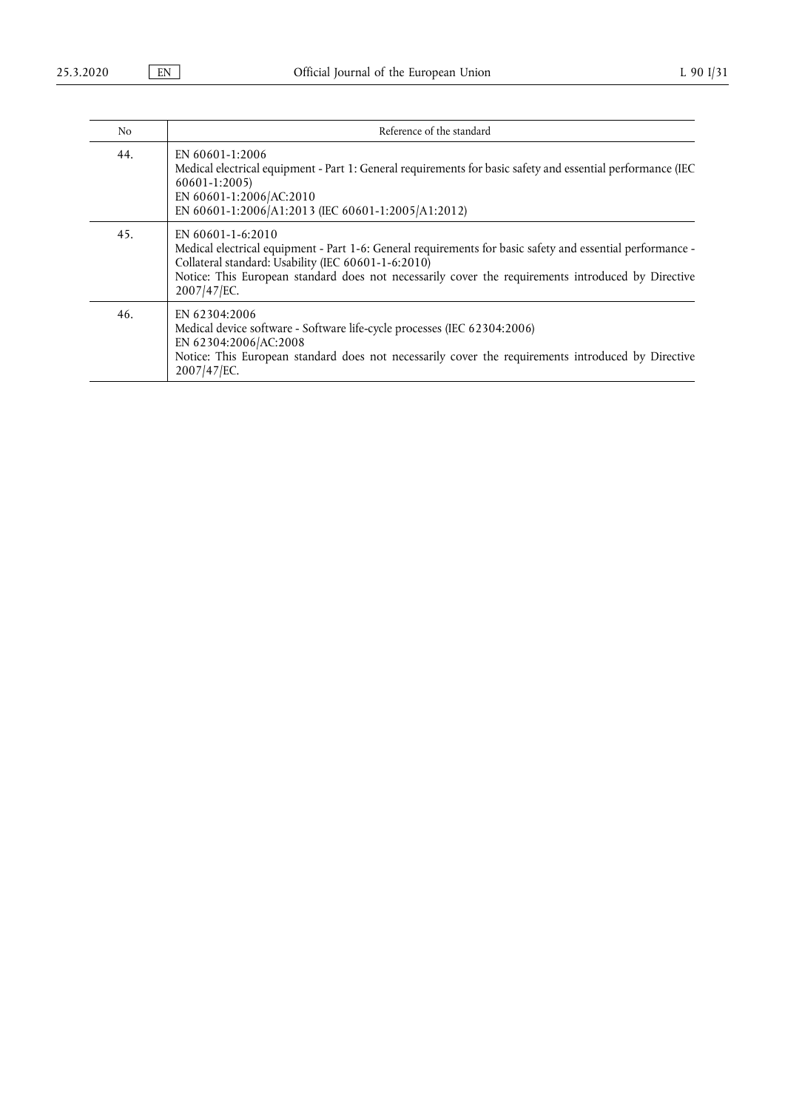| N <sub>o</sub> | Reference of the standard                                                                                                                                                                                                                                                                                         |
|----------------|-------------------------------------------------------------------------------------------------------------------------------------------------------------------------------------------------------------------------------------------------------------------------------------------------------------------|
| 44.            | EN 60601-1:2006<br>Medical electrical equipment - Part 1: General requirements for basic safety and essential performance (IEC<br>60601-1:2005)<br>EN 60601-1:2006/AC:2010<br>EN 60601-1:2006/A1:2013 (IEC 60601-1:2005/A1:2012)                                                                                  |
| 45.            | EN $60601 - 1 - 6:2010$<br>Medical electrical equipment - Part 1-6: General requirements for basic safety and essential performance -<br>Collateral standard: Usability (IEC 60601-1-6:2010)<br>Notice: This European standard does not necessarily cover the requirements introduced by Directive<br>2007/47/EC. |
| 46.            | EN 62304:2006<br>Medical device software - Software life-cycle processes (IEC 62304:2006)<br>EN 62304:2006/AC:2008<br>Notice: This European standard does not necessarily cover the requirements introduced by Directive<br>2007/47/EC.                                                                           |